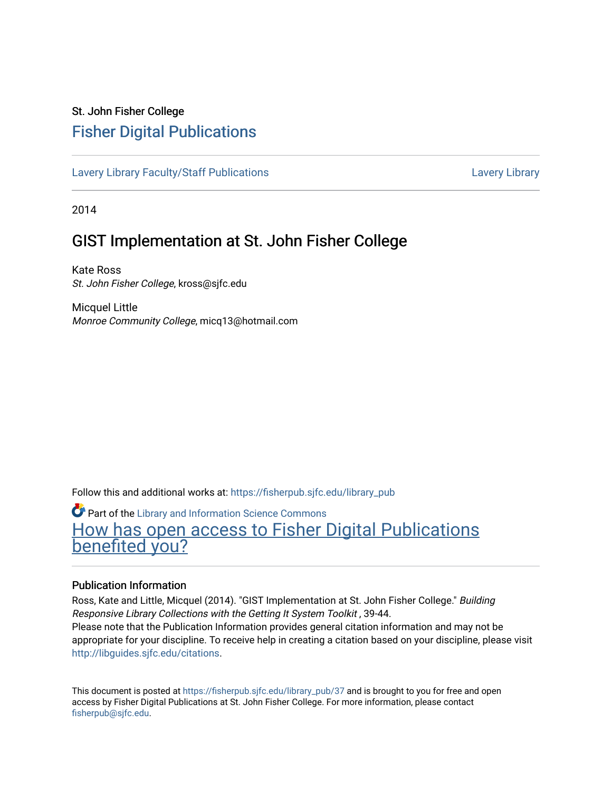# St. John Fisher College [Fisher Digital Publications](https://fisherpub.sjfc.edu/)

[Lavery Library Faculty/Staff Publications](https://fisherpub.sjfc.edu/library_pub) [Lavery Library](https://fisherpub.sjfc.edu/library) Lavery Library

2014

# GIST Implementation at St. John Fisher College

Kate Ross St. John Fisher College, kross@sjfc.edu

Micquel Little Monroe Community College, micq13@hotmail.com

Follow this and additional works at: [https://fisherpub.sjfc.edu/library\\_pub](https://fisherpub.sjfc.edu/library_pub?utm_source=fisherpub.sjfc.edu%2Flibrary_pub%2F37&utm_medium=PDF&utm_campaign=PDFCoverPages)

**Part of the Library and Information Science Commons** [How has open access to Fisher Digital Publications](https://docs.google.com/forms/d/14zrnDfH9d1wcdq8oG_-gFabAsxfcH5claltx85ZWyTg/viewform?entry.1394608989=https://fisherpub.sjfc.edu/library_pub/37%3Chttps://docs.google.com/forms/d/14zrnDfH9d1wcdq8oG_-gFabAsxfcH5claltx85ZWyTg/viewform?entry.1394608989=%7bhttps://fisherpub.sjfc.edu/library_pub/37%7d) [benefited you?](https://docs.google.com/forms/d/14zrnDfH9d1wcdq8oG_-gFabAsxfcH5claltx85ZWyTg/viewform?entry.1394608989=https://fisherpub.sjfc.edu/library_pub/37%3Chttps://docs.google.com/forms/d/14zrnDfH9d1wcdq8oG_-gFabAsxfcH5claltx85ZWyTg/viewform?entry.1394608989=%7bhttps://fisherpub.sjfc.edu/library_pub/37%7d)

#### Publication Information

Ross, Kate and Little, Micquel (2014). "GIST Implementation at St. John Fisher College." Building Responsive Library Collections with the Getting It System Toolkit , 39-44. Please note that the Publication Information provides general citation information and may not be appropriate for your discipline. To receive help in creating a citation based on your discipline, please visit [http://libguides.sjfc.edu/citations.](http://libguides.sjfc.edu/citations)

This document is posted at [https://fisherpub.sjfc.edu/library\\_pub/37](https://fisherpub.sjfc.edu/library_pub/37) and is brought to you for free and open access by Fisher Digital Publications at St. John Fisher College. For more information, please contact [fisherpub@sjfc.edu](mailto:fisherpub@sjfc.edu).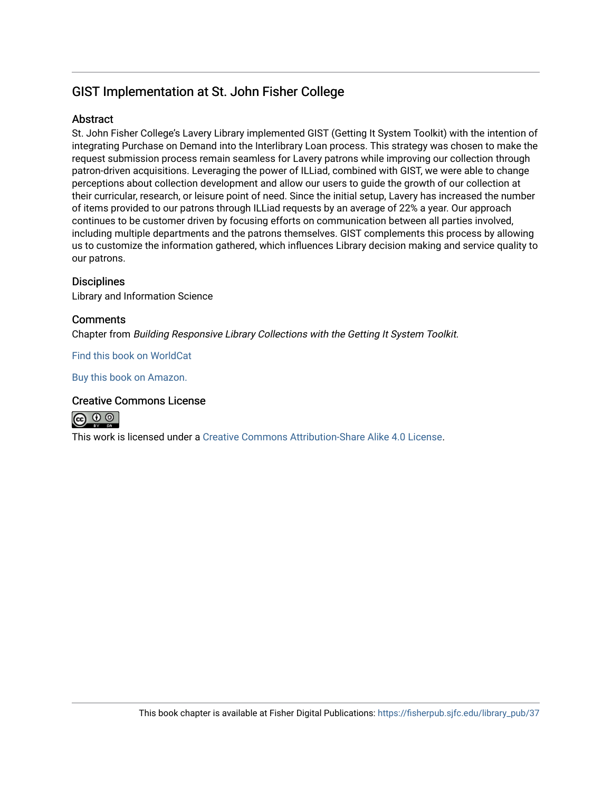## GIST Implementation at St. John Fisher College

### **Abstract**

St. John Fisher College's Lavery Library implemented GIST (Getting It System Toolkit) with the intention of integrating Purchase on Demand into the Interlibrary Loan process. This strategy was chosen to make the request submission process remain seamless for Lavery patrons while improving our collection through patron-driven acquisitions. Leveraging the power of ILLiad, combined with GIST, we were able to change perceptions about collection development and allow our users to guide the growth of our collection at their curricular, research, or leisure point of need. Since the initial setup, Lavery has increased the number of items provided to our patrons through ILLiad requests by an average of 22% a year. Our approach continues to be customer driven by focusing efforts on communication between all parties involved, including multiple departments and the patrons themselves. GIST complements this process by allowing us to customize the information gathered, which influences Library decision making and service quality to our patrons.

### **Disciplines**

Library and Information Science

### **Comments**

Chapter from Building Responsive Library Collections with the Getting It System Toolkit.

[Find this book on WorldCat](http://www.worldcat.org/oclc/895284942) 

[Buy this book on Amazon.](http://amzn.com/0989722686)

### Creative Commons License



This work is licensed under a [Creative Commons Attribution-Share Alike 4.0 License.](https://creativecommons.org/licenses/by-sa/4.0/)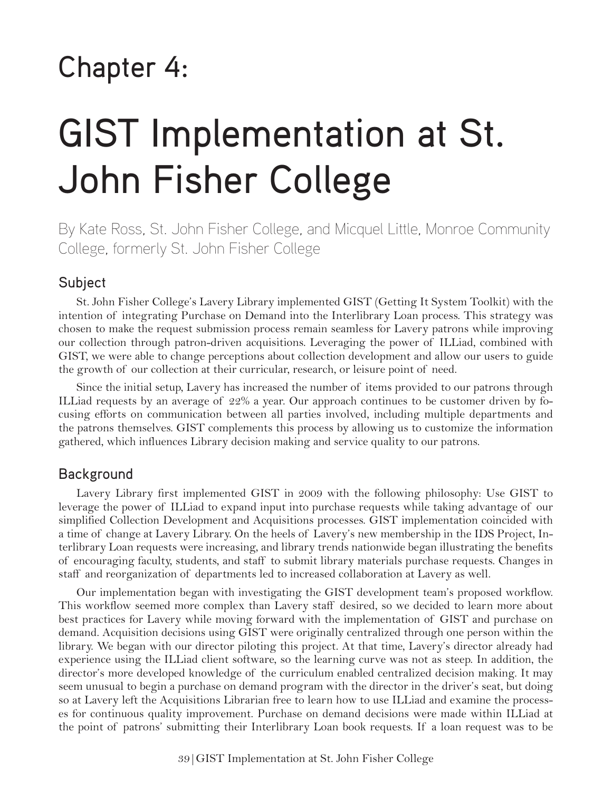# Chapter 4:

# GIST Implementation at St. John Fisher College

By Kate Ross, St. John Fisher College, and Micquel Little, Monroe Community College, formerly St. John Fisher College

## Subject

6. St. John Fisher College's Lavery Library implemented GIST (Getting It System Toolkit) with the intention of integrating Purchase on Demand into the Interlibrary Loan process. This strategy was chosen to make the request submission process remain seamless for Lavery patrons while improving our collection through patron-driven acquisitions. Leveraging the power of ILLiad, combined with GIST, we were able to change perceptions about collection development and allow our users to guide the growth of our collection at their curricular, research, or leisure point of need.

Since the initial setup, Lavery has increased the number of items provided to our patrons through ILLiad requests by an average of 22% a year. Our approach continues to be customer driven by focusing efforts on communication between all parties involved, including multiple departments and the patrons themselves. GIST complements this process by allowing us to customize the information gathered, which influences Library decision making and service quality to our patrons.

### Background

Lavery Library first implemented GIST in 2009 with the following philosophy: Use GIST to leverage the power of ILLiad to expand input into purchase requests while taking advantage of our simplified Collection Development and Acquisitions processes. GIST implementation coincided with a time of change at Lavery Library. On the heels of Lavery's new membership in the IDS Project, Interlibrary Loan requests were increasing, and library trends nationwide began illustrating the benefits of encouraging faculty, students, and staff to submit library materials purchase requests. Changes in staff and reorganization of departments led to increased collaboration at Lavery as well.

Our implementation began with investigating the GIST development team's proposed workflow. This workflow seemed more complex than Lavery staff desired, so we decided to learn more about best practices for Lavery while moving forward with the implementation of GIST and purchase on demand. Acquisition decisions using GIST were originally centralized through one person within the library. We began with our director piloting this project. At that time, Lavery's director already had experience using the ILLiad client software, so the learning curve was not as steep. In addition, the director's more developed knowledge of the curriculum enabled centralized decision making. It may seem unusual to begin a purchase on demand program with the director in the driver's seat, but doing so at Lavery left the Acquisitions Librarian free to learn how to use ILLiad and examine the processes for continuous quality improvement. Purchase on demand decisions were made within ILLiad at the point of patrons' submitting their Interlibrary Loan book requests. If a loan request was to be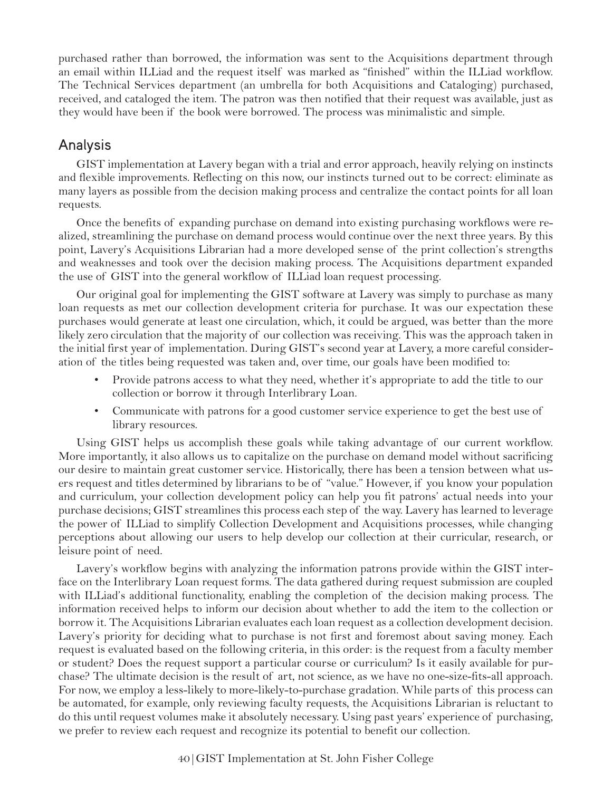purchased rather than borrowed, the information was sent to the Acquisitions department through an email within ILLiad and the request itself was marked as "finished" within the ILLiad workflow. The Technical Services department (an umbrella for both Acquisitions and Cataloging) purchased, received, and cataloged the item. The patron was then notified that their request was available, just as they would have been if the book were borrowed. The process was minimalistic and simple.

## Analysis

GIST implementation at Lavery began with a trial and error approach, heavily relying on instincts and flexible improvements. Reflecting on this now, our instincts turned out to be correct: eliminate as many layers as possible from the decision making process and centralize the contact points for all loan requests.

Once the benefits of expanding purchase on demand into existing purchasing workflows were realized, streamlining the purchase on demand process would continue over the next three years. By this point, Lavery's Acquisitions Librarian had a more developed sense of the print collection's strengths and weaknesses and took over the decision making process. The Acquisitions department expanded the use of GIST into the general workflow of ILLiad loan request processing.

Our original goal for implementing the GIST software at Lavery was simply to purchase as many loan requests as met our collection development criteria for purchase. It was our expectation these purchases would generate at least one circulation, which, it could be argued, was better than the more likely zero circulation that the majority of our collection was receiving. This was the approach taken in the initial first year of implementation. During GIST's second year at Lavery, a more careful consideration of the titles being requested was taken and, over time, our goals have been modified to:

- Provide patrons access to what they need, whether it's appropriate to add the title to our collection or borrow it through Interlibrary Loan.
- Communicate with patrons for a good customer service experience to get the best use of library resources.

Using GIST helps us accomplish these goals while taking advantage of our current workflow. More importantly, it also allows us to capitalize on the purchase on demand model without sacrificing our desire to maintain great customer service. Historically, there has been a tension between what users request and titles determined by librarians to be of "value." However, if you know your population and curriculum, your collection development policy can help you fit patrons' actual needs into your purchase decisions; GIST streamlines this process each step of the way. Lavery has learned to leverage the power of ILLiad to simplify Collection Development and Acquisitions processes, while changing perceptions about allowing our users to help develop our collection at their curricular, research, or leisure point of need.

Lavery's workflow begins with analyzing the information patrons provide within the GIST interface on the Interlibrary Loan request forms. The data gathered during request submission are coupled with ILLiad's additional functionality, enabling the completion of the decision making process. The information received helps to inform our decision about whether to add the item to the collection or borrow it. The Acquisitions Librarian evaluates each loan request as a collection development decision. Lavery's priority for deciding what to purchase is not first and foremost about saving money. Each request is evaluated based on the following criteria, in this order: is the request from a faculty member or student? Does the request support a particular course or curriculum? Is it easily available for purchase? The ultimate decision is the result of art, not science, as we have no one-size-fits-all approach. For now, we employ a less-likely to more-likely-to-purchase gradation. While parts of this process can be automated, for example, only reviewing faculty requests, the Acquisitions Librarian is reluctant to do this until request volumes make it absolutely necessary. Using past years' experience of purchasing, we prefer to review each request and recognize its potential to benefit our collection.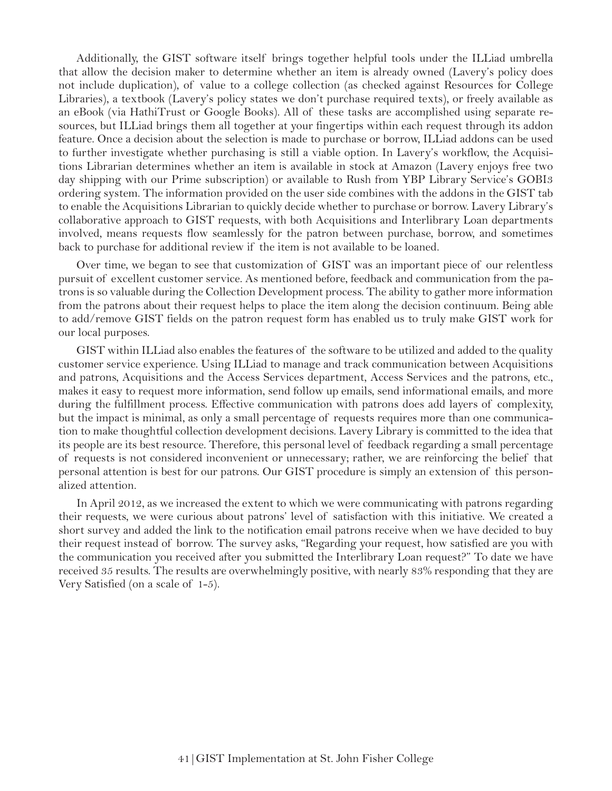Additionally, the GIST software itself brings together helpful tools under the ILLiad umbrella that allow the decision maker to determine whether an item is already owned (Lavery's policy does not include duplication), of value to a college collection (as checked against Resources for College Libraries), a textbook (Lavery's policy states we don't purchase required texts), or freely available as an eBook (via HathiTrust or Google Books). All of these tasks are accomplished using separate resources, but ILLiad brings them all together at your fingertips within each request through its addon feature. Once a decision about the selection is made to purchase or borrow, ILLiad addons can be used to further investigate whether purchasing is still a viable option. In Lavery's workflow, the Acquisitions Librarian determines whether an item is available in stock at Amazon (Lavery enjoys free two day shipping with our Prime subscription) or available to Rush from YBP Library Service's GOBI3 ordering system. The information provided on the user side combines with the addons in the GIST tab to enable the Acquisitions Librarian to quickly decide whether to purchase or borrow. Lavery Library's collaborative approach to GIST requests, with both Acquisitions and Interlibrary Loan departments involved, means requests flow seamlessly for the patron between purchase, borrow, and sometimes back to purchase for additional review if the item is not available to be loaned.

Over time, we began to see that customization of GIST was an important piece of our relentless pursuit of excellent customer service. As mentioned before, feedback and communication from the patrons is so valuable during the Collection Development process. The ability to gather more information from the patrons about their request helps to place the item along the decision continuum. Being able to add/remove GIST fields on the patron request form has enabled us to truly make GIST work for our local purposes.

GIST within ILLiad also enables the features of the software to be utilized and added to the quality customer service experience. Using ILLiad to manage and track communication between Acquisitions and patrons, Acquisitions and the Access Services department, Access Services and the patrons, etc., makes it easy to request more information, send follow up emails, send informational emails, and more during the fulfillment process. Effective communication with patrons does add layers of complexity, but the impact is minimal, as only a small percentage of requests requires more than one communication to make thoughtful collection development decisions. Lavery Library is committed to the idea that its people are its best resource. Therefore, this personal level of feedback regarding a small percentage of requests is not considered inconvenient or unnecessary; rather, we are reinforcing the belief that personal attention is best for our patrons. Our GIST procedure is simply an extension of this personalized attention.

In April 2012, as we increased the extent to which we were communicating with patrons regarding their requests, we were curious about patrons' level of satisfaction with this initiative. We created a short survey and added the link to the notification email patrons receive when we have decided to buy their request instead of borrow. The survey asks, "Regarding your request, how satisfied are you with the communication you received after you submitted the Interlibrary Loan request?" To date we have received 35 results. The results are overwhelmingly positive, with nearly 83% responding that they are Very Satisfied (on a scale of  $1-5$ ).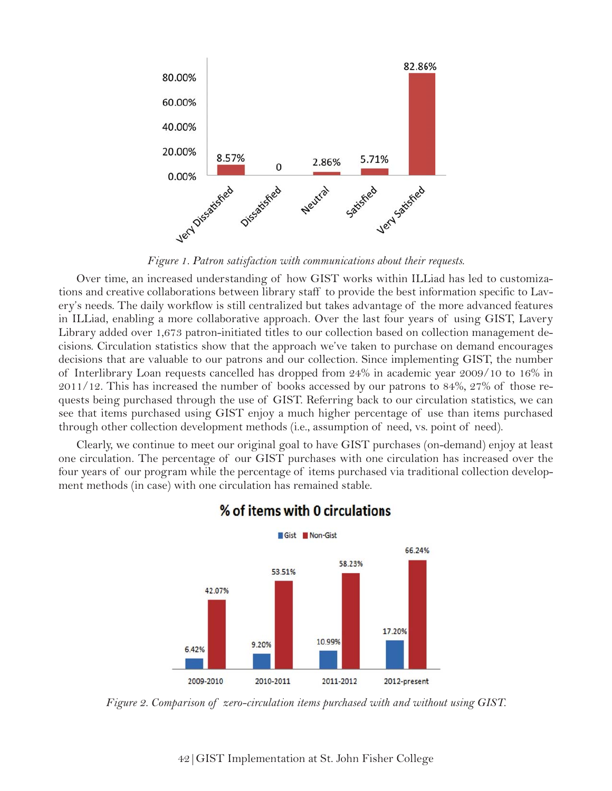

Over time, an increased understanding of how GIST works within ILLiad has led to customizations and creative collaborations between library staff to provide the best information specific to Lavery's needs. The daily workflow is still centralized but takes advantage of the more advanced features in ILLiad, enabling a more collaborative approach. Over the last four years of using GIST, Lavery Library added over 1,673 patron-initiated titles to our collection based on collection management decisions. Circulation statistics show that the approach we've taken to purchase on demand encourages decisions that are valuable to our patrons and our collection. Since implementing GIST, the number of Interlibrary Loan requests cancelled has dropped from  $24\%$  in academic year  $2009/10$  to  $16\%$  in 2011/12. This has increased the number of books accessed by our patrons to  $84\%$ ,  $27\%$  of those requests being purchased through the use of GIST. Referring back to our circulation statistics, we can see that items purchased using GIST enjoy a much higher percentage of use than items purchased through other collection development methods (i.e., assumption of need, vs. point of need).

Clearly, we continue to meet our original goal to have GIST purchases (on-demand) enjoy at least one circulation. The percentage of our GIST purchases with one circulation has increased over the four years of our program while the percentage of items purchased via traditional collection development methods (in case) with one circulation has remained stable.



### % of items with 0 circulations

*Figure 2. Comparison of zero-circulation items purchased with and without using GIST.*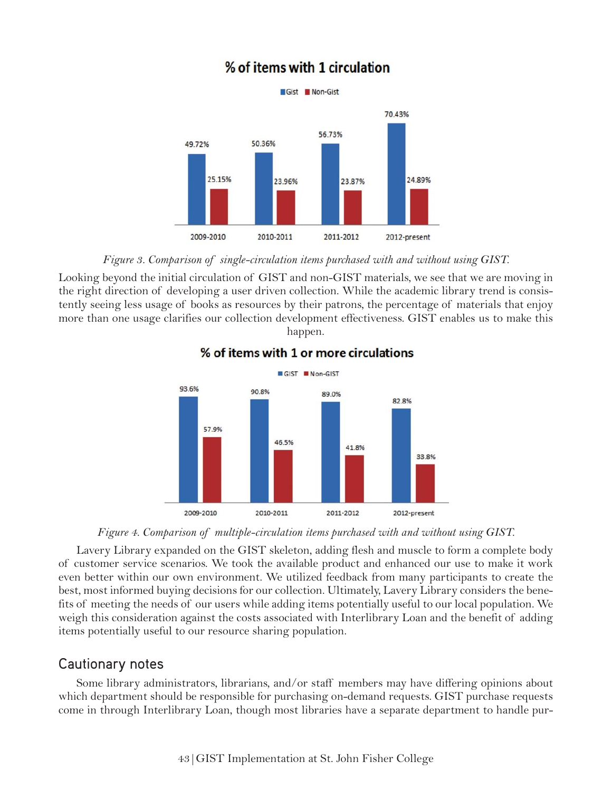# % of items with 1 circulation



*Figure 3. Comparison of single-circulation items purchased with and without using GIST.*

Looking beyond the initial circulation of GIST and non-GIST materials, we see that we are moving in the right direction of developing a user driven collection. While the academic library trend is consistently seeing less usage of books as resources by their patrons, the percentage of materials that enjoy more than one usage clarifies our collection development effectiveness. GIST enables us to make this happen.



### % of items with 1 or more circulations

*Figure 4. Comparison of multiple-circulation items purchased with and without using GIST.*

Lavery Library expanded on the GIST skeleton, adding flesh and muscle to form a complete body of customer service scenarios. We took the available product and enhanced our use to make it work even better within our own environment. We utilized feedback from many participants to create the best, most informed buying decisions for our collection. Ultimately, Lavery Library considers the benefits of meeting the needs of our users while adding items potentially useful to our local population. We weigh this consideration against the costs associated with Interlibrary Loan and the benefit of adding items potentially useful to our resource sharing population.

## Cautionary notes

Some library administrators, librarians, and/or staff members may have differing opinions about which department should be responsible for purchasing on-demand requests. GIST purchase requests come in through Interlibrary Loan, though most libraries have a separate department to handle pur